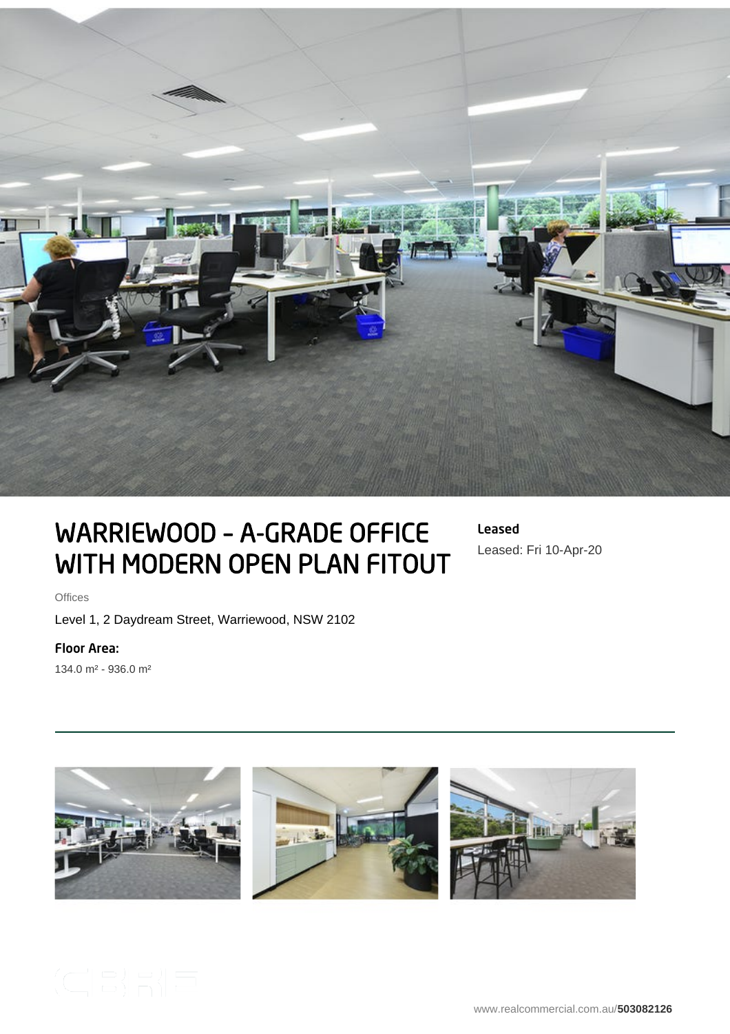

# WARRIEWOOD – A-GRADE OFFICE WITH MODERN OPEN PLAN FITOUT

Leased Leased: Fri 10-Apr-20

**Offices** 

Level 1, 2 Daydream Street, Warriewood, NSW 2102

## Floor Area:

134.0 m² - 936.0 m²